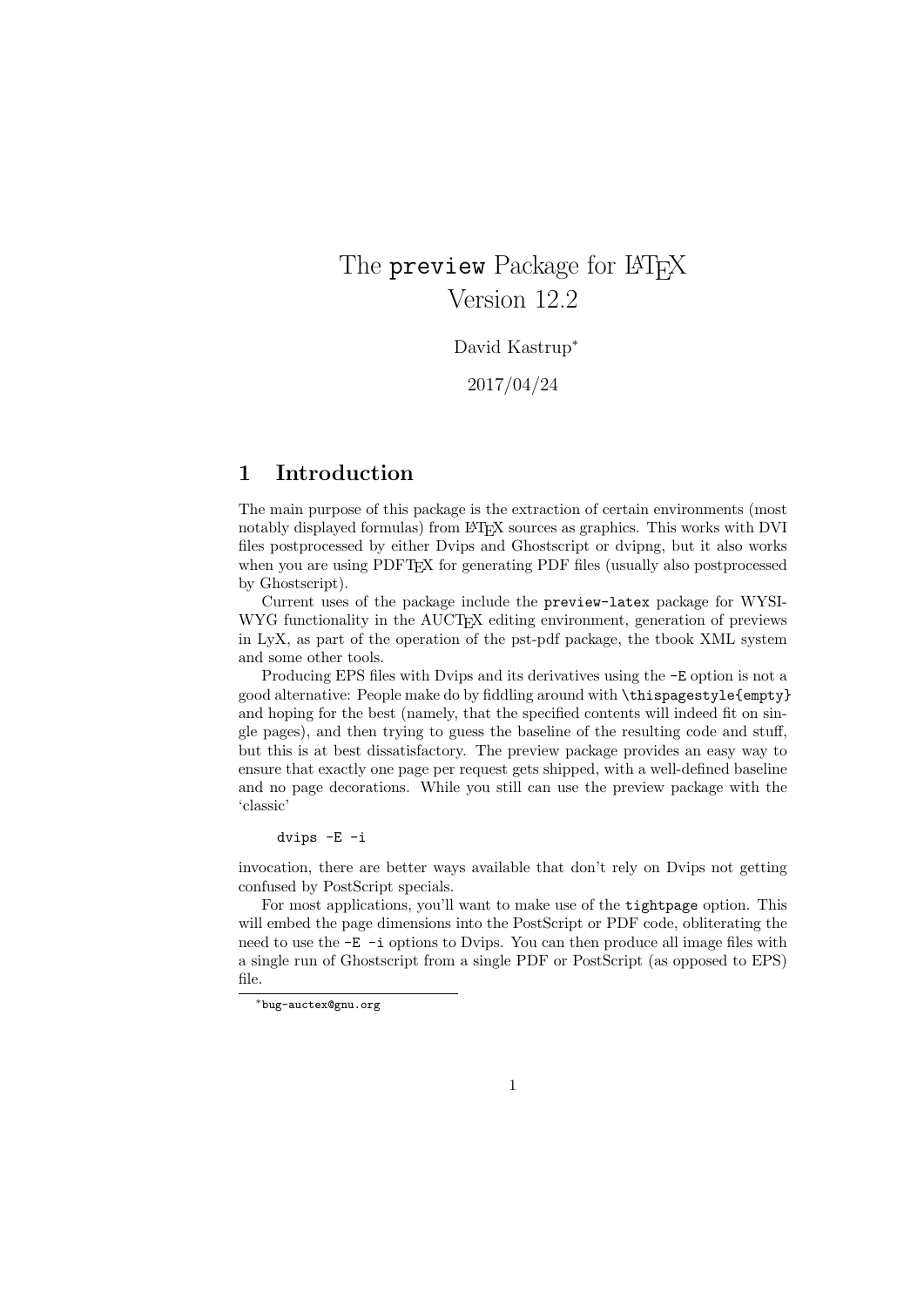# The **preview** Package for LAT<sub>EX</sub> Version 12.2

David Kastrup<sup>∗</sup>

2017/04/24

### 1 Introduction

The main purpose of this package is the extraction of certain environments (most notably displayed formulas) from LATEX sources as graphics. This works with DVI files postprocessed by either Dvips and Ghostscript or dvipng, but it also works when you are using PDFT<sub>EX</sub> for generating PDF files (usually also postprocessed by Ghostscript).

Current uses of the package include the preview-latex package for WYSI-WYG functionality in the AUCT<sub>EX</sub> editing environment, generation of previews in LyX, as part of the operation of the pst-pdf package, the tbook XML system and some other tools.

Producing EPS files with Dvips and its derivatives using the -E option is not a good alternative: People make do by fiddling around with \thispagestyle{empty} and hoping for the best (namely, that the specified contents will indeed fit on single pages), and then trying to guess the baseline of the resulting code and stuff, but this is at best dissatisfactory. The preview package provides an easy way to ensure that exactly one page per request gets shipped, with a well-defined baseline and no page decorations. While you still can use the preview package with the 'classic'

dvips -E -i

invocation, there are better ways available that don't rely on Dvips not getting confused by PostScript specials.

For most applications, you'll want to make use of the tightpage option. This will embed the page dimensions into the PostScript or PDF code, obliterating the need to use the  $-E$  -i options to Dvips. You can then produce all image files with a single run of Ghostscript from a single PDF or PostScript (as opposed to EPS) file.

<sup>∗</sup>bug-auctex@gnu.org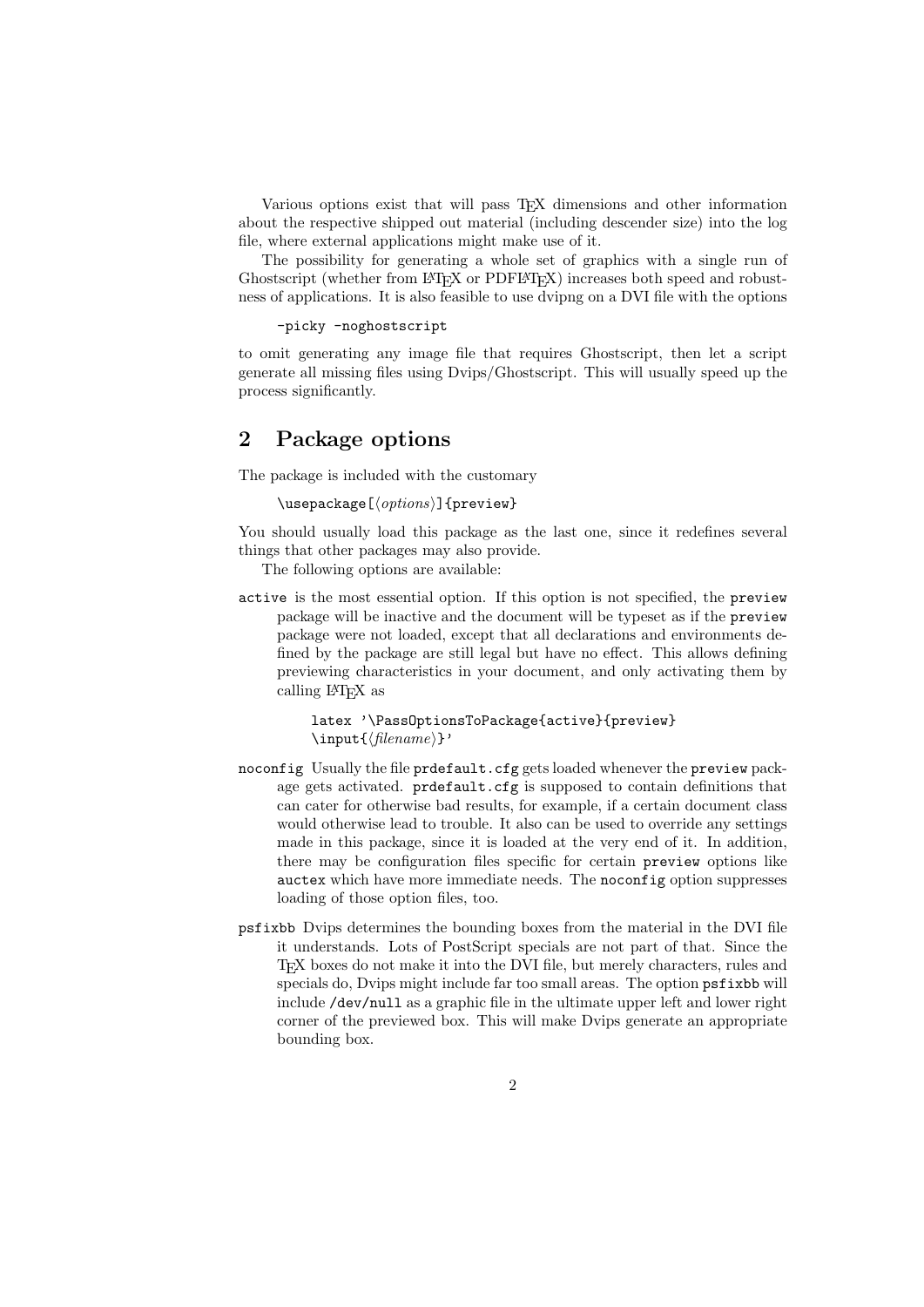Various options exist that will pass TEX dimensions and other information about the respective shipped out material (including descender size) into the log file, where external applications might make use of it.

The possibility for generating a whole set of graphics with a single run of Ghostscript (whether from LAT<sub>EX</sub> or PDFLAT<sub>EX</sub>) increases both speed and robustness of applications. It is also feasible to use dvipng on a DVI file with the options

-picky -noghostscript

to omit generating any image file that requires Ghostscript, then let a script generate all missing files using Dvips/Ghostscript. This will usually speed up the process significantly.

## 2 Package options

The package is included with the customary

 $\text{laser}$ [ $\{options\}$ ]{preview}

You should usually load this package as the last one, since it redefines several things that other packages may also provide.

The following options are available:

active is the most essential option. If this option is not specified, the preview package will be inactive and the document will be typeset as if the preview package were not loaded, except that all declarations and environments defined by the package are still legal but have no effect. This allows defining previewing characteristics in your document, and only activating them by calling LATEX as

> latex '\PassOptionsToPackage{active}{preview}  $\in{\mathcal{H}}$

- noconfig Usually the file prdefault.cfg gets loaded whenever the preview package gets activated. prdefault.cfg is supposed to contain definitions that can cater for otherwise bad results, for example, if a certain document class would otherwise lead to trouble. It also can be used to override any settings made in this package, since it is loaded at the very end of it. In addition, there may be configuration files specific for certain preview options like auctex which have more immediate needs. The noconfig option suppresses loading of those option files, too.
- psfixbb Dvips determines the bounding boxes from the material in the DVI file it understands. Lots of PostScript specials are not part of that. Since the TEX boxes do not make it into the DVI file, but merely characters, rules and specials do, Dvips might include far too small areas. The option psfixbb will include /dev/null as a graphic file in the ultimate upper left and lower right corner of the previewed box. This will make Dvips generate an appropriate bounding box.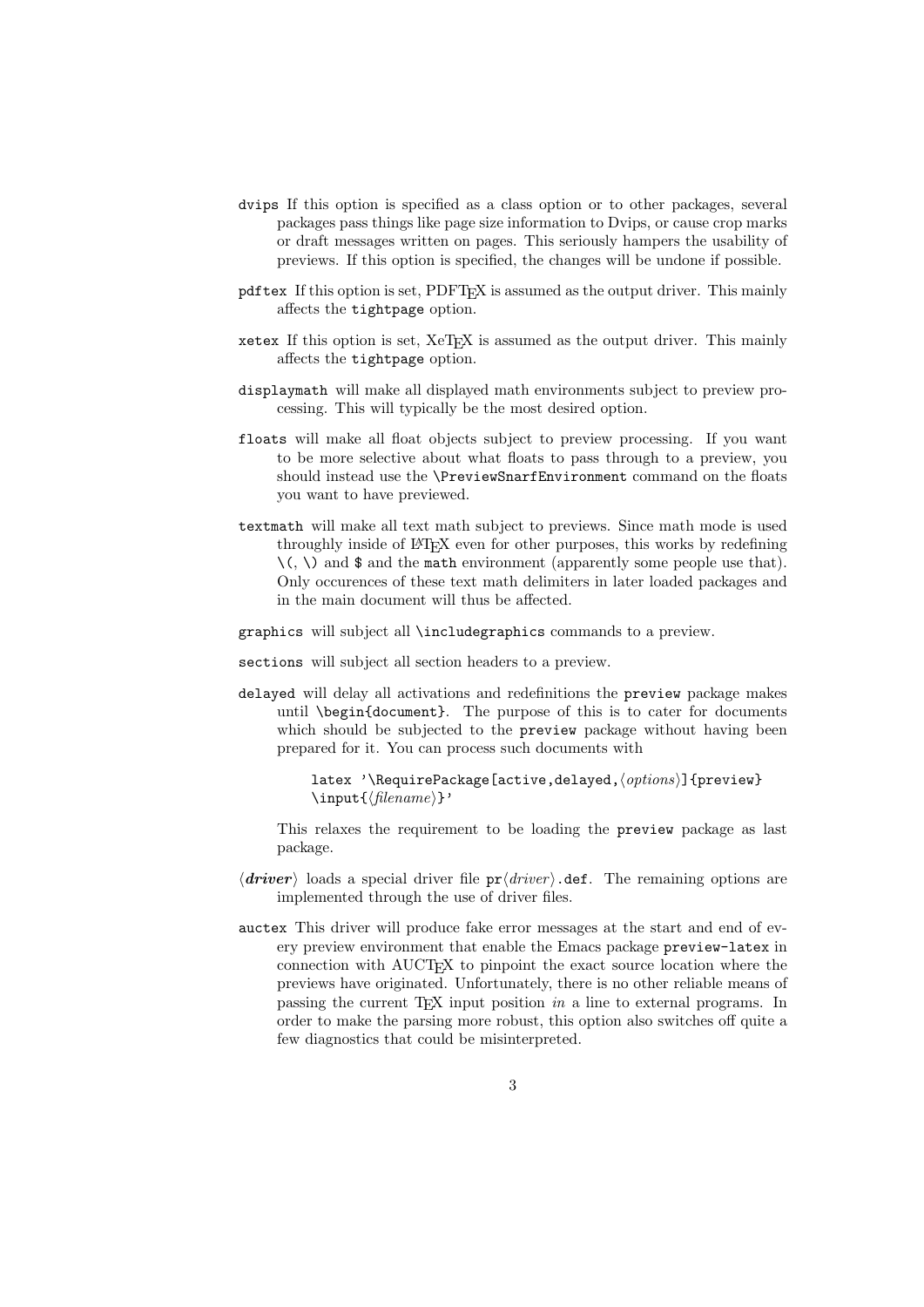- dvips If this option is specified as a class option or to other packages, several packages pass things like page size information to Dvips, or cause crop marks or draft messages written on pages. This seriously hampers the usability of previews. If this option is specified, the changes will be undone if possible.
- pdftex If this option is set, PDFTEX is assumed as the output driver. This mainly affects the tightpage option.
- xetex If this option is set, XeTEX is assumed as the output driver. This mainly affects the tightpage option.
- displaymath will make all displayed math environments subject to preview processing. This will typically be the most desired option.
- floats will make all float objects subject to preview processing. If you want to be more selective about what floats to pass through to a preview, you should instead use the \PreviewSnarfEnvironment command on the floats you want to have previewed.
- textmath will make all text math subject to previews. Since math mode is used throughly inside of LATEX even for other purposes, this works by redefining  $\langle \zeta, \zeta \rangle$  and  $\$  and the math environment (apparently some people use that). Only occurences of these text math delimiters in later loaded packages and in the main document will thus be affected.
- graphics will subject all \includegraphics commands to a preview.
- sections will subject all section headers to a preview.
- delayed will delay all activations and redefinitions the preview package makes until \begin{document}. The purpose of this is to cater for documents which should be subjected to the **preview** package without having been prepared for it. You can process such documents with

```
latex '\RequirePackage[active,delayed,\\tapm\)]{preview}
\in{\mathcal{h}lename}'
```
This relaxes the requirement to be loading the preview package as last package.

- $\langle$  driver) loads a special driver file  $pr\langle$  driver). def. The remaining options are implemented through the use of driver files.
- auctex This driver will produce fake error messages at the start and end of every preview environment that enable the Emacs package preview-latex in connection with AUCTEX to pinpoint the exact source location where the previews have originated. Unfortunately, there is no other reliable means of passing the current TEX input position in a line to external programs. In order to make the parsing more robust, this option also switches off quite a few diagnostics that could be misinterpreted.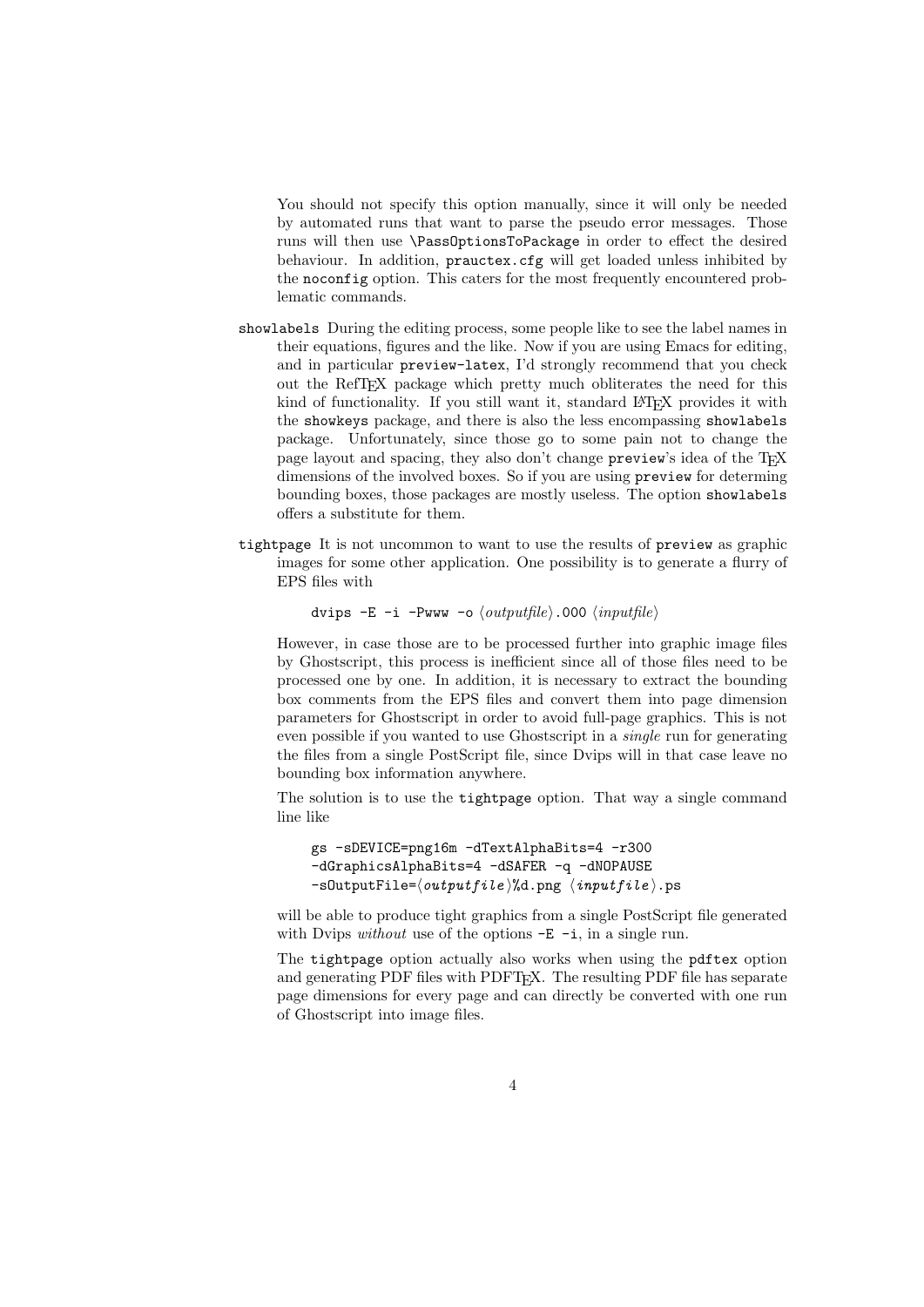You should not specify this option manually, since it will only be needed by automated runs that want to parse the pseudo error messages. Those runs will then use \PassOptionsToPackage in order to effect the desired behaviour. In addition, prauctex.cfg will get loaded unless inhibited by the noconfig option. This caters for the most frequently encountered problematic commands.

- showlabels During the editing process, some people like to see the label names in their equations, figures and the like. Now if you are using Emacs for editing, and in particular preview-latex, I'd strongly recommend that you check out the RefT<sub>E</sub>X package which pretty much obliterates the need for this kind of functionality. If you still want it, standard LATEX provides it with the showkeys package, and there is also the less encompassing showlabels package. Unfortunately, since those go to some pain not to change the page layout and spacing, they also don't change preview's idea of the T<sub>E</sub>X dimensions of the involved boxes. So if you are using preview for determing bounding boxes, those packages are mostly useless. The option showlabels offers a substitute for them.
- tightpage It is not uncommon to want to use the results of preview as graphic images for some other application. One possibility is to generate a flurry of EPS files with

dvips  $-E$  -i -Pwww -o  $\langle output file \rangle$ .000  $\langle input file \rangle$ 

However, in case those are to be processed further into graphic image files by Ghostscript, this process is inefficient since all of those files need to be processed one by one. In addition, it is necessary to extract the bounding box comments from the EPS files and convert them into page dimension parameters for Ghostscript in order to avoid full-page graphics. This is not even possible if you wanted to use Ghostscript in a single run for generating the files from a single PostScript file, since Dvips will in that case leave no bounding box information anywhere.

The solution is to use the tightpage option. That way a single command line like

gs -sDEVICE=png16m -dTextAlphaBits=4 -r300 -dGraphicsAlphaBits=4 -dSAFER -q -dNOPAUSE  $-s$ OutputFile= $\langle outputfile \rangle$ %d.png  $\langle inputfile \rangle$ .ps

will be able to produce tight graphics from a single PostScript file generated with Dvips *without* use of the options  $-E$  -i, in a single run.

The tightpage option actually also works when using the pdftex option and generating PDF files with PDFT<sub>F</sub>X. The resulting PDF file has separate page dimensions for every page and can directly be converted with one run of Ghostscript into image files.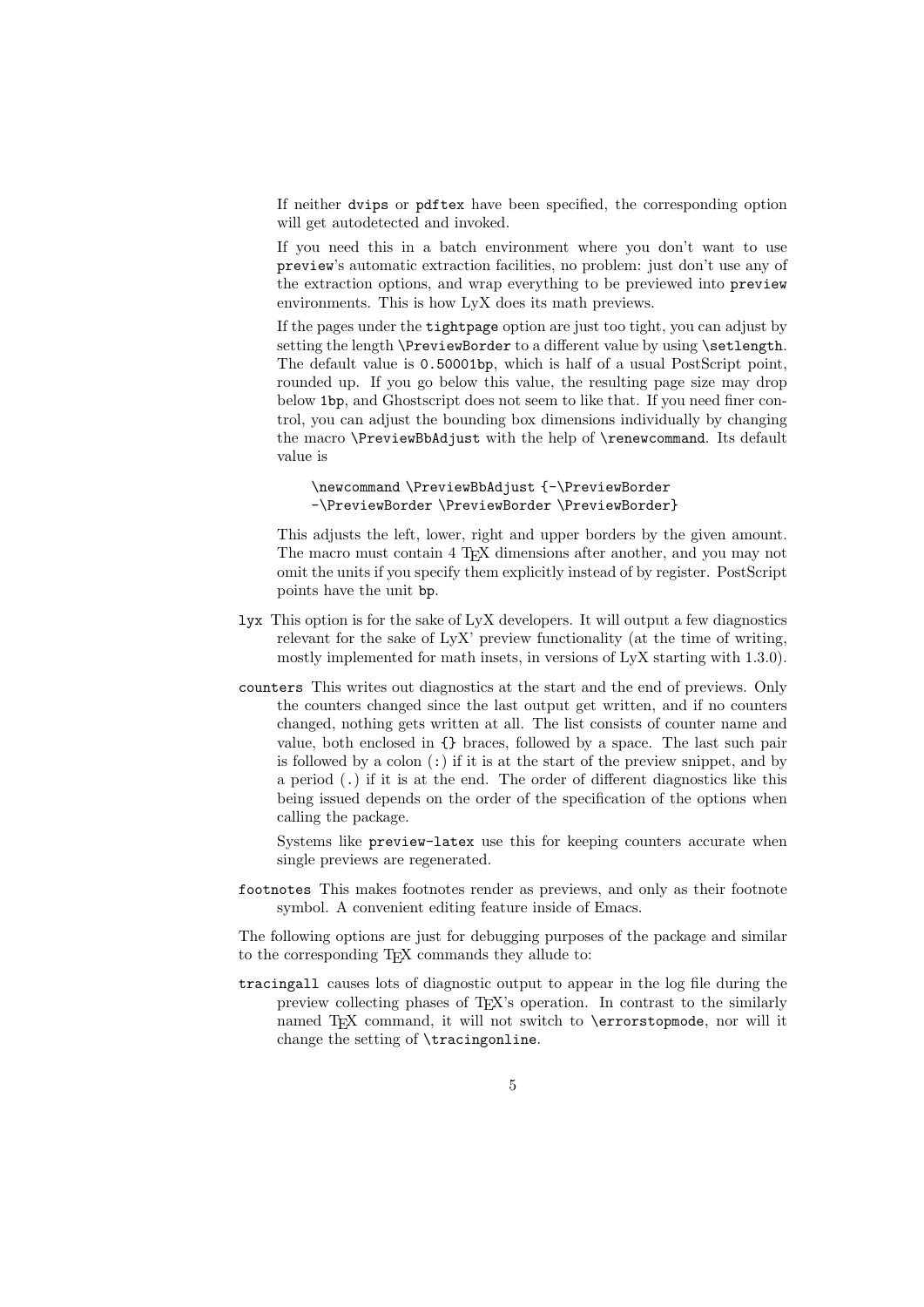If neither dvips or pdftex have been specified, the corresponding option will get autodetected and invoked.

If you need this in a batch environment where you don't want to use preview's automatic extraction facilities, no problem: just don't use any of the extraction options, and wrap everything to be previewed into preview environments. This is how LyX does its math previews.

If the pages under the tightpage option are just too tight, you can adjust by setting the length **\PreviewBorder** to a different value by using **\setlength**. The default value is 0.50001bp, which is half of a usual PostScript point, rounded up. If you go below this value, the resulting page size may drop below 1bp, and Ghostscript does not seem to like that. If you need finer control, you can adjust the bounding box dimensions individually by changing the macro \PreviewBbAdjust with the help of \renewcommand. Its default value is

\newcommand \PreviewBbAdjust {-\PreviewBorder -\PreviewBorder \PreviewBorder \PreviewBorder}

This adjusts the left, lower, right and upper borders by the given amount. The macro must contain 4 T<sub>E</sub>X dimensions after another, and you may not omit the units if you specify them explicitly instead of by register. PostScript points have the unit bp.

- lyx This option is for the sake of LyX developers. It will output a few diagnostics relevant for the sake of LyX' preview functionality (at the time of writing, mostly implemented for math insets, in versions of LyX starting with 1.3.0).
- counters This writes out diagnostics at the start and the end of previews. Only the counters changed since the last output get written, and if no counters changed, nothing gets written at all. The list consists of counter name and value, both enclosed in {} braces, followed by a space. The last such pair is followed by a colon  $(\cdot)$  if it is at the start of the preview snippet, and by a period (.) if it is at the end. The order of different diagnostics like this being issued depends on the order of the specification of the options when calling the package.

Systems like preview-latex use this for keeping counters accurate when single previews are regenerated.

footnotes This makes footnotes render as previews, and only as their footnote symbol. A convenient editing feature inside of Emacs.

The following options are just for debugging purposes of the package and similar to the corresponding T<sub>E</sub>X commands they allude to:

tracingall causes lots of diagnostic output to appear in the log file during the preview collecting phases of T<sub>EX</sub>'s operation. In contrast to the similarly named TEX command, it will not switch to **\errorstopmode**, nor will it change the setting of \tracingonline.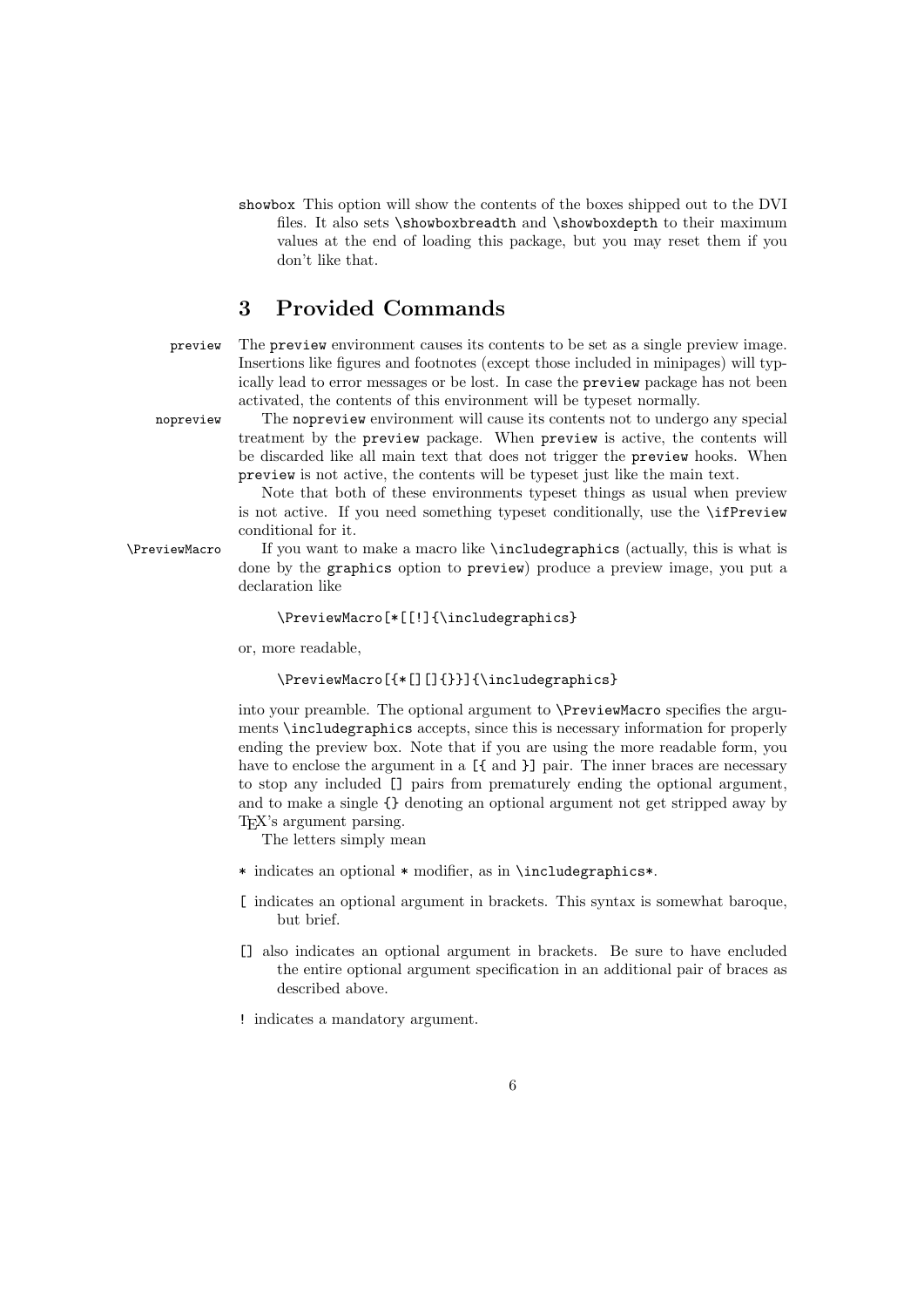showbox This option will show the contents of the boxes shipped out to the DVI files. It also sets \showboxbreadth and \showboxdepth to their maximum values at the end of loading this package, but you may reset them if you don't like that.

### 3 Provided Commands

preview The preview environment causes its contents to be set as a single preview image. Insertions like figures and footnotes (except those included in minipages) will typically lead to error messages or be lost. In case the preview package has not been activated, the contents of this environment will be typeset normally.

nopreview The nopreview environment will cause its contents not to undergo any special treatment by the preview package. When preview is active, the contents will be discarded like all main text that does not trigger the preview hooks. When preview is not active, the contents will be typeset just like the main text.

> Note that both of these environments typeset things as usual when preview is not active. If you need something typeset conditionally, use the \ifPreview conditional for it.

\PreviewMacro If you want to make a macro like \includegraphics (actually, this is what is done by the graphics option to preview) produce a preview image, you put a declaration like

#### \PreviewMacro[\*[[!]{\includegraphics}

or, more readable,

#### \PreviewMacro[{\*[][]{}}]{\includegraphics}

into your preamble. The optional argument to \PreviewMacro specifies the arguments \includegraphics accepts, since this is necessary information for properly ending the preview box. Note that if you are using the more readable form, you have to enclose the argument in a  $[\{\text{and }\}]$  pair. The inner braces are necessary to stop any included [] pairs from prematurely ending the optional argument, and to make a single {} denoting an optional argument not get stripped away by TEX's argument parsing.

The letters simply mean

- \* indicates an optional \* modifier, as in \includegraphics\*.
- [ indicates an optional argument in brackets. This syntax is somewhat baroque, but brief.
- [] also indicates an optional argument in brackets. Be sure to have encluded the entire optional argument specification in an additional pair of braces as described above.
- ! indicates a mandatory argument.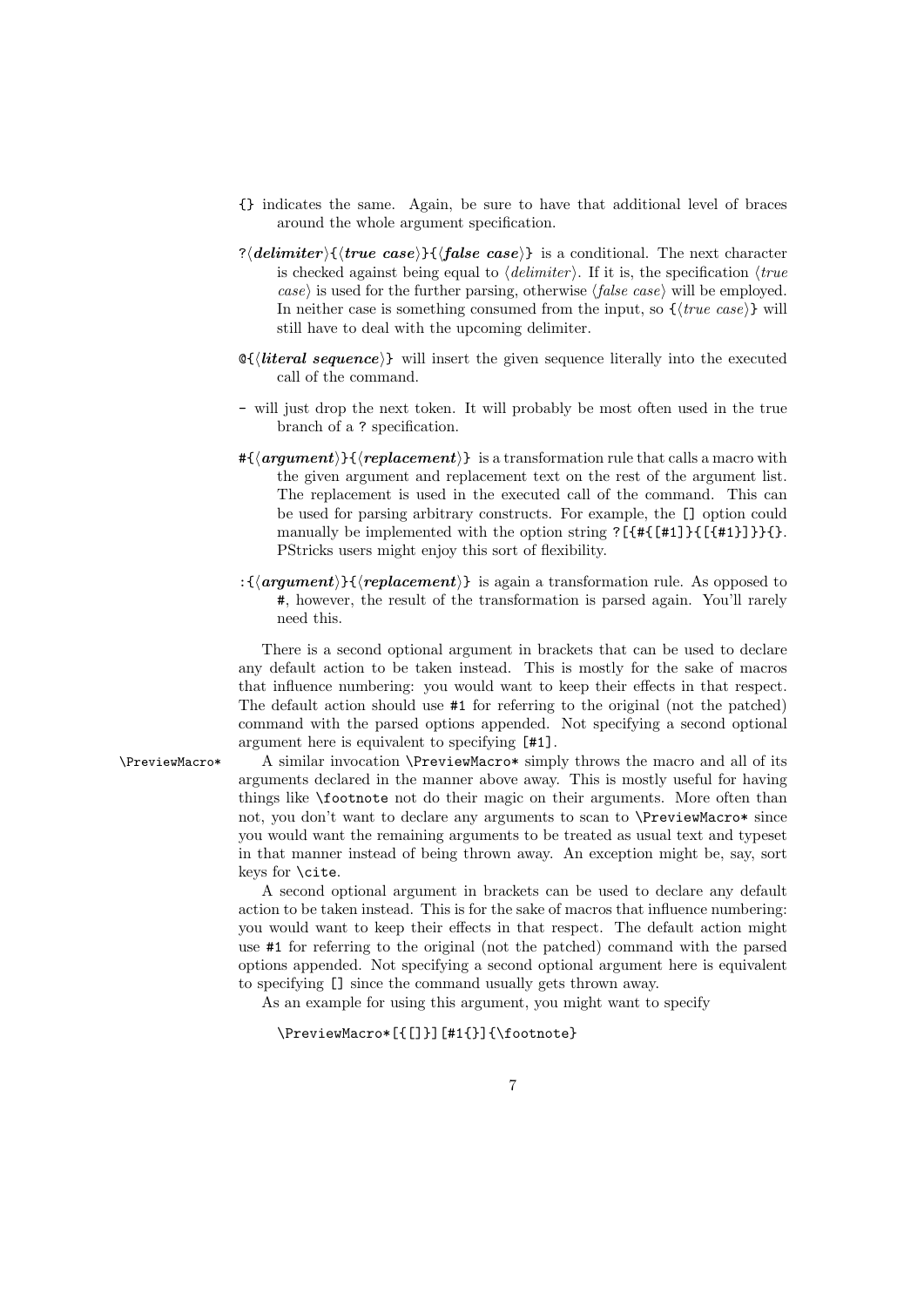- {} indicates the same. Again, be sure to have that additional level of braces around the whole argument specification.
- ?(*delimiter*){(*true case*)}{(*false case*)} is a conditional. The next character is checked against being equal to  $\langle\text{delimiter}\rangle$ . If it is, the specification  $\langle\text{true}\rangle$ case) is used for the further parsing, otherwise  $\langle false \; case \rangle$  will be employed. In neither case is something consumed from the input, so  $\{\langle true \; case \rangle\}$  will still have to deal with the upcoming delimiter.
- $\mathcal{A}$  (*literal sequence*) will insert the given sequence literally into the executed call of the command.
- will just drop the next token. It will probably be most often used in the true branch of a ? specification.
- $#\{\langle argument \rangle\}$  is a transformation rule that calls a macro with the given argument and replacement text on the rest of the argument list. The replacement is used in the executed call of the command. This can be used for parsing arbitrary constructs. For example, the [] option could manually be implemented with the option string ?[ $\{\text{\texttt{#1}}\}$ } [ $\{\text{\texttt{#1}}\}$ }}}}}. PStricks users might enjoy this sort of flexibility.
- : ${\langle \langle argument \rangle\} {\langle \langle replacement \rangle \rangle}$  is again a transformation rule. As opposed to #, however, the result of the transformation is parsed again. You'll rarely need this.

There is a second optional argument in brackets that can be used to declare any default action to be taken instead. This is mostly for the sake of macros that influence numbering: you would want to keep their effects in that respect. The default action should use #1 for referring to the original (not the patched) command with the parsed options appended. Not specifying a second optional argument here is equivalent to specifying [#1].

\PreviewMacro\* A similar invocation \PreviewMacro\* simply throws the macro and all of its arguments declared in the manner above away. This is mostly useful for having things like \footnote not do their magic on their arguments. More often than not, you don't want to declare any arguments to scan to \PreviewMacro\* since you would want the remaining arguments to be treated as usual text and typeset in that manner instead of being thrown away. An exception might be, say, sort keys for \cite.

> A second optional argument in brackets can be used to declare any default action to be taken instead. This is for the sake of macros that influence numbering: you would want to keep their effects in that respect. The default action might use #1 for referring to the original (not the patched) command with the parsed options appended. Not specifying a second optional argument here is equivalent to specifying [] since the command usually gets thrown away.

As an example for using this argument, you might want to specify

### \PreviewMacro\*[{[]}][#1{}]{\footnote}